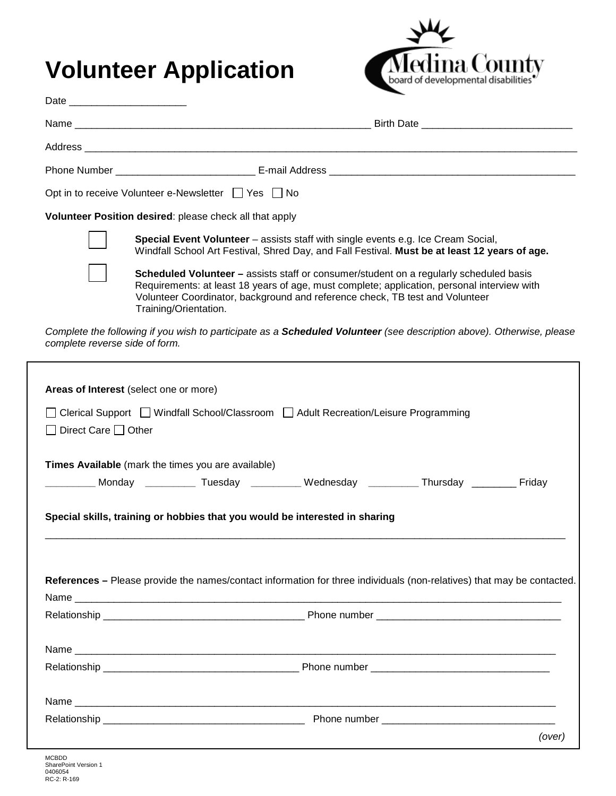## **Volunteer Application**



| Date ________________________ |                                                                                                                                                                                                                                                                                                       |
|-------------------------------|-------------------------------------------------------------------------------------------------------------------------------------------------------------------------------------------------------------------------------------------------------------------------------------------------------|
|                               |                                                                                                                                                                                                                                                                                                       |
|                               |                                                                                                                                                                                                                                                                                                       |
|                               |                                                                                                                                                                                                                                                                                                       |
|                               | Opt in to receive Volunteer e-Newsletter □ Yes □ No                                                                                                                                                                                                                                                   |
|                               | Volunteer Position desired: please check all that apply                                                                                                                                                                                                                                               |
|                               | <b>Special Event Volunteer</b> – assists staff with single events e.g. Ice Cream Social,<br>Windfall School Art Festival, Shred Day, and Fall Festival. Must be at least 12 years of age.                                                                                                             |
|                               | <b>Scheduled Volunteer</b> – assists staff or consumer/student on a regularly scheduled basis<br>Requirements: at least 18 years of age, must complete; application, personal interview with<br>Volunteer Coordinator, background and reference check, TB test and Volunteer<br>Training/Orientation. |

*Complete the following if you wish to participate as a Scheduled Volunteer (see description above). Otherwise, please complete reverse side of form.* 

| Times Available (mark the times you are available)<br>__________ Monday __________ Tuesday _________ Wednesday _________ Thursday ________ Friday<br>Special skills, training or hobbies that you would be interested in sharing<br>References – Please provide the names/contact information for three individuals (non-relatives) that may be contacted. | Areas of Interest (select one or more)<br>Direct Care $\Box$ Other | □ Clerical Support □ Windfall School/Classroom □ Adult Recreation/Leisure Programming |  |
|------------------------------------------------------------------------------------------------------------------------------------------------------------------------------------------------------------------------------------------------------------------------------------------------------------------------------------------------------------|--------------------------------------------------------------------|---------------------------------------------------------------------------------------|--|
|                                                                                                                                                                                                                                                                                                                                                            |                                                                    |                                                                                       |  |
|                                                                                                                                                                                                                                                                                                                                                            |                                                                    |                                                                                       |  |
|                                                                                                                                                                                                                                                                                                                                                            |                                                                    |                                                                                       |  |
|                                                                                                                                                                                                                                                                                                                                                            |                                                                    |                                                                                       |  |
|                                                                                                                                                                                                                                                                                                                                                            |                                                                    |                                                                                       |  |
|                                                                                                                                                                                                                                                                                                                                                            |                                                                    |                                                                                       |  |
|                                                                                                                                                                                                                                                                                                                                                            |                                                                    |                                                                                       |  |
|                                                                                                                                                                                                                                                                                                                                                            |                                                                    |                                                                                       |  |
|                                                                                                                                                                                                                                                                                                                                                            |                                                                    |                                                                                       |  |
|                                                                                                                                                                                                                                                                                                                                                            |                                                                    |                                                                                       |  |
|                                                                                                                                                                                                                                                                                                                                                            |                                                                    |                                                                                       |  |
|                                                                                                                                                                                                                                                                                                                                                            |                                                                    |                                                                                       |  |
|                                                                                                                                                                                                                                                                                                                                                            |                                                                    |                                                                                       |  |
|                                                                                                                                                                                                                                                                                                                                                            |                                                                    |                                                                                       |  |
|                                                                                                                                                                                                                                                                                                                                                            |                                                                    |                                                                                       |  |
|                                                                                                                                                                                                                                                                                                                                                            |                                                                    |                                                                                       |  |
| (over)                                                                                                                                                                                                                                                                                                                                                     |                                                                    |                                                                                       |  |